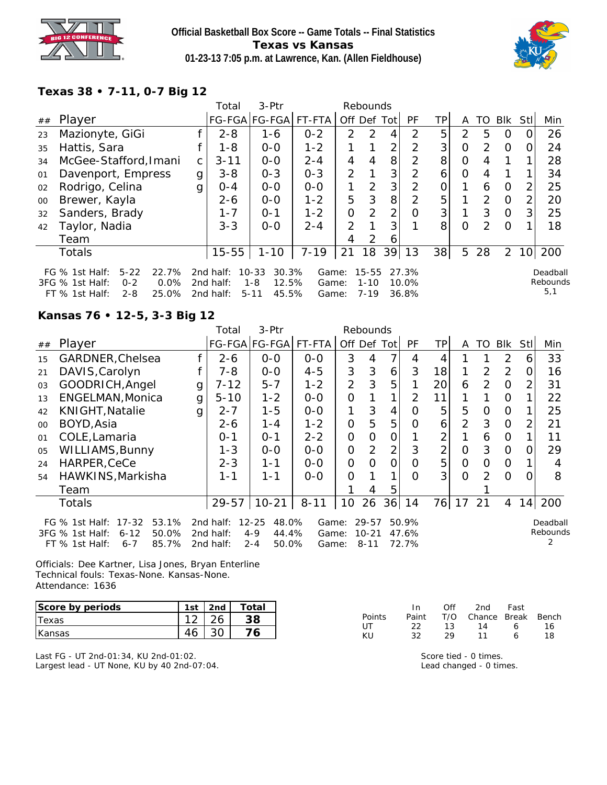



### **Texas 38 • 7-11, 0-7 Big 12**

|        |                                                                                                                 | Total | $3-$ Ptr                            |                                                             |                         | Rebounds      |                               |    |                         |               |               |               |                |     |                             |
|--------|-----------------------------------------------------------------------------------------------------------------|-------|-------------------------------------|-------------------------------------------------------------|-------------------------|---------------|-------------------------------|----|-------------------------|---------------|---------------|---------------|----------------|-----|-----------------------------|
| ##     | Player                                                                                                          |       |                                     | FG-FGA FG-FGA  FT-FTA                                       |                         | Off Def Tot   |                               |    | PF                      | ΤP            | A             |               | TO Blk         | Stl | Min                         |
| 23     | Mazionyte, GiGi                                                                                                 |       | $2 - 8$                             | 1-6                                                         | $0 - 2$                 | $\mathcal{P}$ | 2                             | 4  | $\mathcal{P}$           | 5             | $\mathcal{P}$ | 5             | $\Omega$       |     | 26                          |
| 35     | Hattis, Sara                                                                                                    |       | $1 - 8$                             | $0 - 0$                                                     | $1 - 2$                 |               | 1                             | 2  | 2                       | 3             | 0             | 2             | $\Omega$       | O   | 24                          |
| 34     | McGee-Stafford, Imani                                                                                           | C     | $3 - 11$                            | $0 - 0$                                                     | $2 - 4$                 | 4             | 4                             | 8  | $\mathcal{P}$           | 8             | 0             | 4             |                |     | 28                          |
| 01     | Davenport, Empress                                                                                              | g     | $3 - 8$                             | $0 - 3$                                                     | $0 - 3$                 | 2             | 1                             | 3  | $\overline{2}$          | 6             | $\mathcal{O}$ | 4             |                |     | 34                          |
| 02     | Rodrigo, Celina                                                                                                 | g     | $0 - 4$                             | $0 - 0$                                                     | $0 - 0$                 |               | 2                             | 3  | $\overline{2}$          | $\mathcal{O}$ |               | 6             | $\Omega$       | 2   | 25                          |
| $00\,$ | Brewer, Kayla                                                                                                   |       | 2-6                                 | $0 - 0$                                                     | $1 - 2$                 | 5             | 3                             | 8  | 2                       | 5             |               | $\mathcal{P}$ | $\overline{0}$ | 2   | 20                          |
| 32     | Sanders, Brady                                                                                                  |       | $1 - 7$                             | $O - 1$                                                     | $1 - 2$                 | 0             | 2                             | 2  | O                       | 3             |               | 3             | $\Omega$       | 3   | 25                          |
| 42     | Taylor, Nadia                                                                                                   |       | $3 - 3$                             | $0 - 0$                                                     | $2 - 4$                 | 2             | 1                             | 3  |                         | 8             | 0             | 2             | $\Omega$       |     | 18                          |
|        | Team                                                                                                            |       |                                     |                                                             |                         | 4             | 2                             | 6  |                         |               |               |               |                |     |                             |
|        | <b>Totals</b>                                                                                                   |       | $15 - 55$                           | $1 - 10$                                                    | $7 - 19$                | 21            | 18                            | 39 | 13                      | 38            | 5             | 28            | $\overline{2}$ | 10  | 200                         |
|        | 22.7%<br>FG % 1st Half:<br>$5-22$<br>3FG % 1st Half:<br>0.0%<br>$0 - 2$<br>$FT$ % 1st Half:<br>25.0%<br>$2 - 8$ |       | 2nd half:<br>2nd half:<br>2nd half: | $10 - 33$<br>30.3%<br>$1 - 8$<br>12.5%<br>$5 - 11$<br>45.5% | Game:<br>Game:<br>Game: |               | 15-55<br>$1 - 10$<br>$7 - 19$ |    | 27.3%<br>10.0%<br>36.8% |               |               |               |                |     | Deadball<br>Rebounds<br>5,1 |

### **Kansas 76 • 12-5, 3-3 Big 12**

|    |                                                                                                                       | 3-Ptr<br>Rebounds<br>Total |                                     |                                                            |                         |                |                                |                |                         |    |          |                |               |                |                      |
|----|-----------------------------------------------------------------------------------------------------------------------|----------------------------|-------------------------------------|------------------------------------------------------------|-------------------------|----------------|--------------------------------|----------------|-------------------------|----|----------|----------------|---------------|----------------|----------------------|
| ## | Player                                                                                                                |                            |                                     | FG-FGA FG-FGA                                              | FT-FTA                  |                | Off Def Tot                    |                | PF                      | ΤP | A        | TO             | <b>Blk</b>    | StII           | Min                  |
| 15 | GARDNER, Chelsea                                                                                                      |                            | 2-6                                 | $0-0$                                                      | $O-O$                   | 3              | 4                              | 7              | 4                       | 4  |          |                | $\mathcal{P}$ | 6              | 33                   |
| 21 | DAVIS, Carolyn                                                                                                        |                            | 7-8                                 | $0 - 0$                                                    | $4 - 5$                 | 3              | 3                              | 6              | 3                       | 18 |          | 2              | 2             | 0              | 16                   |
| 03 | GOODRICH, Angel                                                                                                       | g                          | $7 - 12$                            | $5 - 7$                                                    | $1 - 2$                 | $\overline{2}$ | 3                              | 5              |                         | 20 | 6        | $\overline{2}$ | $\Omega$      | $\overline{2}$ | 31                   |
| 13 | ENGELMAN, Monica                                                                                                      | g                          | $5 - 10$                            | $1 - 2$                                                    | $0-0$                   | $\overline{O}$ |                                |                | 2                       | 11 |          |                | $\circ$       |                | 22                   |
| 42 | KNIGHT, Natalie                                                                                                       | g                          | $2 - 7$                             | $1 - 5$                                                    | $0 - 0$                 | 1              | 3                              | 4              | Ω                       | 5  | 5        | O              | O             |                | 25                   |
| 00 | BOYD, Asia                                                                                                            |                            | 2-6                                 | 1-4                                                        | $1 - 2$                 | $\overline{O}$ | 5                              | 5              | Ω                       | 6  | 2        | 3              | $\Omega$      | $\overline{2}$ | 21                   |
| 01 | COLE, Lamaria                                                                                                         |                            | $O - 1$                             | $0 - 1$                                                    | $2 - 2$                 | $\mathcal{O}$  | O                              | 0              |                         | 2  |          | 6              | 0             |                | 11                   |
| 05 | WILLIAMS, Bunny                                                                                                       |                            | $1 - 3$                             | $O-O$                                                      | $O-O$                   | $\overline{O}$ | $\overline{2}$                 | $\overline{2}$ | 3                       | 2  | Ο        | 3              | $\Omega$      | 0              | 29                   |
| 24 | HARPER, CeCe                                                                                                          |                            | $2 - 3$                             | $1 - 1$                                                    | $0 - 0$                 | $\mathcal{O}$  | $\Omega$                       | $\overline{O}$ | 0                       | 5  | O        | O              | $\Omega$      |                | 4                    |
| 54 | HAWKINS, Markisha                                                                                                     |                            | $1 - 1$                             | $1 - 1$                                                    | $0 - 0$                 | $\Omega$       |                                |                | Ω                       | 3  | $\Omega$ | $\mathcal{P}$  | $\Omega$      | 0              | 8                    |
|    | Team                                                                                                                  |                            |                                     |                                                            |                         |                |                                | 5              |                         |    |          |                |               |                |                      |
|    | Totals                                                                                                                |                            | 29-57                               | $10 - 21$                                                  | $8 - 11$                | 10             | 26                             |                | $36$   14               | 76 | 17       | 21             | 4             | 14             | 200                  |
|    | $17 - 32$<br>53.1%<br>FG $\%$ 1st Half:<br>50.0%<br>3FG % 1st Half:<br>$6 - 12$<br>85.7%<br>FT % 1st Half:<br>$6 - 7$ |                            | 2nd half:<br>2nd half:<br>2nd half: | $12 - 25$<br>48.0%<br>$4 - 9$<br>44.4%<br>$2 - 4$<br>50.0% | Game:<br>Game:<br>Game: |                | 29-57<br>$10 - 21$<br>$8 - 11$ |                | 50.9%<br>47.6%<br>72.7% |    |          |                |               |                | Deadball<br>Rebounds |

Officials: Dee Kartner, Lisa Jones, Bryan Enterline Technical fouls: Texas-None. Kansas-None. Attendance: 1636

| Score by periods | 1st | 2nd | Total |
|------------------|-----|-----|-------|
| Texas            |     |     |       |
| Kansas           |     |     |       |

Last FG - UT 2nd-01:34, KU 2nd-01:02. Largest lead - UT None, KU by 40 2nd-07:04.

|               | In.   | Off | 2nd                    | Fast |    |
|---------------|-------|-----|------------------------|------|----|
| <b>Points</b> | Paint |     | T/O Chance Break Bench |      |    |
| UT            | -22 - | 13  | 14                     | 6.   | 16 |
| KU            | 32.   | 29. | 11                     | 6    | 18 |

Score tied - 0 times. Lead changed - 0 times.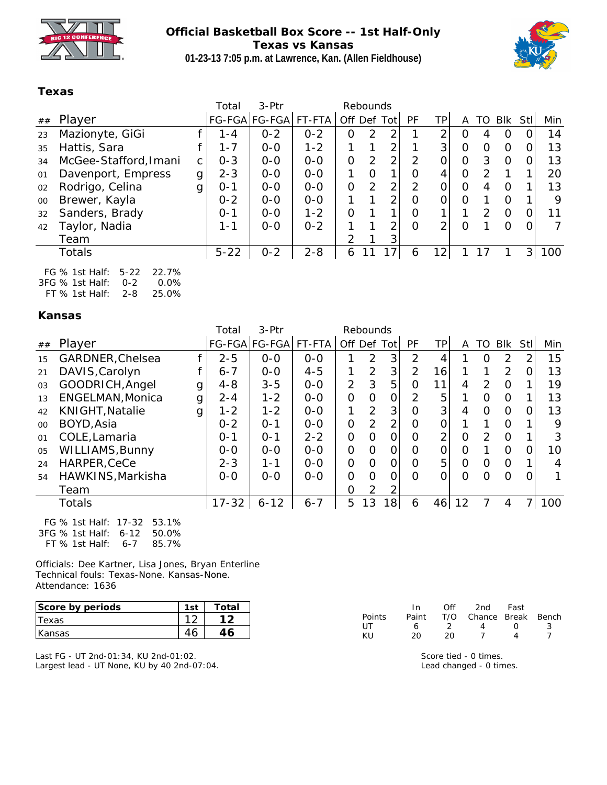

### **Official Basketball Box Score -- 1st Half-Only Texas vs Kansas 01-23-13 7:05 p.m. at Lawrence, Kan. (Allen Fieldhouse)**



#### **Texas**

|    |                                                   |   | Total    | $3-Ptr$               | Rebounds |          |         |                |                |                |          |               |          |          |     |
|----|---------------------------------------------------|---|----------|-----------------------|----------|----------|---------|----------------|----------------|----------------|----------|---------------|----------|----------|-----|
| ## | Player                                            |   |          | FG-FGA FG-FGA  FT-FTA |          |          |         | Off Def Tot    | <b>PF</b>      | ТP             | A        | TO            | Blk      | Stl      | Min |
| 23 | Mazionyte, GiGi                                   |   | 1 - 4    | $0 - 2$               | $0 - 2$  | O        | 2       | 2              |                | 2              | $\Omega$ | 4             | O        |          | 14  |
| 35 | Hattis, Sara                                      |   | $1 - 7$  | $0 - 0$               | $1 - 2$  |          |         | ⌒              |                | 3              | $\Omega$ | 0             | 0        | 0        | 13  |
| 34 | McGee-Stafford, Imani                             | C | $0 - 3$  | $0 - 0$               | $O - O$  | O        | 2       | 2              |                | 0              | 0        | 3             | $\Omega$ |          | 13  |
| 01 | Davenport, Empress                                | g | $2 - 3$  | $0 - 0$               | $0-0$    |          | $\circ$ | 1              | 0              | 4              |          | $\mathcal{P}$ |          |          | 20  |
| 02 | Rodrigo, Celina                                   | g | $0 - 1$  | $O-O$                 | $0-0$    | O        | 2       | $\overline{2}$ | $\overline{2}$ | 0              | $\Omega$ | 4             |          |          | 13  |
| 00 | Brewer, Kayla                                     |   | $0 - 2$  | $0 - 0$               | $O-O$    |          |         | 2              | $\overline{O}$ | 0              | $\Omega$ |               |          |          | 9   |
| 32 | Sanders, Brady                                    |   | $0 - 1$  | $O-O$                 | $1 - 2$  | $\Omega$ |         |                | 0              |                |          | $\mathcal{P}$ | $\Omega$ |          | 11  |
| 42 | Taylor, Nadia                                     |   | $1 - 1$  | $0 - 0$               | $0 - 2$  |          |         | っ              | $\Omega$       | $\overline{2}$ | $\Omega$ |               |          | $\Omega$ | 7   |
|    | Team                                              |   |          |                       |          | 2        |         | 3              |                |                |          |               |          |          |     |
|    | Totals                                            |   | $5 - 22$ | $0 - 2$               | $2 - 8$  | 6        |         |                | 6              | 12             |          | 17            |          |          | 100 |
|    | $\Gamma \cap 0$ / $1_{\Omega}$ + $\Box$<br>22.70/ |   |          |                       |          |          |         |                |                |                |          |               |          |          |     |

FG % 1st Half: 5-22 22.7% 3FG % 1st Half: 0-2 0.0%

FT % 1st Half: 2-8 25.0%

#### **Kansas**

|                             | Total     | $3-Ptr$  |               |          |                |                |                         |                 |          |                |               |     |     |
|-----------------------------|-----------|----------|---------------|----------|----------------|----------------|-------------------------|-----------------|----------|----------------|---------------|-----|-----|
| Player                      |           |          | FT-FTA        |          |                |                | <b>PF</b>               | TP <sub>I</sub> | A        | TO             | Blk           | Stl | Min |
| GARDNER, Chelsea            | $2 - 5$   | $O-O$    | $O-O$         |          | $\overline{2}$ | 3              | $\overline{2}$          | 4               |          | 0              | 2             | 2   | 15  |
| DAVIS, Carolyn              | $6 - 7$   | $0 - 0$  | $4 - 5$       |          | $\overline{2}$ | 3              | $\overline{2}$          | 16              |          |                | $\mathcal{P}$ | 0   | 13  |
| GOODRICH, Angel<br>g        | $4 - 8$   | $3 - 5$  | $O - O$       | 2        | 3              | 5              | 0                       | 11              | 4        | $\overline{2}$ | O             |     | 19  |
| ENGELMAN, Monica<br>g       | $2 - 4$   | $1 - 2$  | $O - O$       | $\Omega$ | $\Omega$       | $\overline{O}$ | $\overline{2}$          | 5               |          | O              | $\Omega$      | 1   | 13  |
| <b>KNIGHT, Natalie</b><br>g | $1 - 2$   | $1 - 2$  | $O-O$         |          | $\overline{2}$ | 3              | 0                       | 3               | 4        | O              | $\Omega$      | Ο   | 13  |
| BOYD, Asia                  | $0 - 2$   | $O - 1$  | $O - O$       | $\Omega$ | 2              | $\overline{2}$ | $\overline{O}$          | 0               | 1        | 1              | O             | ◀   | 9   |
| COLE, Lamaria               | $O - 1$   | $O - 1$  | $2 - 2$       | $\Omega$ | $\Omega$       | $\overline{O}$ | $\Omega$                | ⌒               | $\Omega$ | 2              | $\Omega$      | ◀   | 3   |
| WILLIAMS, Bunny             | $0 - 0$   | $0 - 0$  | $0 - 0$       | $\Omega$ | $\Omega$       | 0              | $\Omega$                | 0               | 0        |                | O             | Ο   | 10  |
| HARPER, CeCe                | $2 - 3$   | $1 - 1$  | $0 - 0$       | $\Omega$ | $\Omega$       | $\overline{O}$ | $\Omega$                | 5               | $\Omega$ | $\Omega$       | $\Omega$      | 1   | 4   |
| HAWKINS, Markisha           | $0 - 0$   | $0 - 0$  | $O - O$       | $\Omega$ | $\Omega$       | $\overline{O}$ | $\Omega$                | O               | $\Omega$ | Ω              | O             | Ω   |     |
| Team                        |           |          |               | 0        | 2              | 2              |                         |                 |          |                |               |     |     |
| Totals                      | $17 - 32$ | $6 - 12$ | $6 - 7$       | 5        | 13             | 18             | 6                       | 46              | 12       |                | 4             |     | 100 |
|                             |           |          | FG-FGA FG-FGA |          |                |                | Rebounds<br>Off Def Tot |                 |          |                |               |     |     |

FG % 1st Half: 17-32 53.1% 3FG % 1st Half: 6-12 50.0% FT % 1st Half: 6-7 85.7%

Officials: Dee Kartner, Lisa Jones, Bryan Enterline Technical fouls: Texas-None. Kansas-None. Attendance: 1636

| Score by periods | ™otal |
|------------------|-------|
| exas             |       |
| Kansas           |       |

Last FG - UT 2nd-01:34, KU 2nd-01:02. Largest lead - UT None, KU by 40 2nd-07:04.

|               | In.   | ∩ff     | 2nd                    | Fast             |     |
|---------------|-------|---------|------------------------|------------------|-----|
| <b>Points</b> | Paint |         | T/O Chance Break Bench |                  |     |
| UT            | ь     | $\cdot$ | $\mathbf{\Delta}$      | $\left( \right)$ | -3. |
| KU            | 20.   | 20      |                        |                  |     |

Score tied - 0 times. Lead changed - 0 times.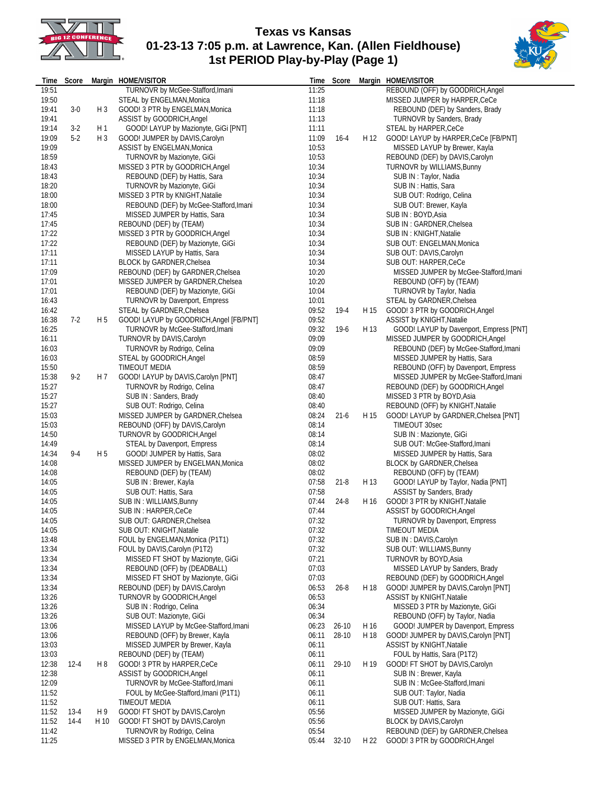

### **Texas vs Kansas 01-23-13 7:05 p.m. at Lawrence, Kan. (Allen Fieldhouse) 1st PERIOD Play-by-Play (Page 1)**



| Time           | Score                |                       | Margin HOME/VISITOR                                                      | Time           | Score    |      | Margin HOME/VISITOR                                                   |
|----------------|----------------------|-----------------------|--------------------------------------------------------------------------|----------------|----------|------|-----------------------------------------------------------------------|
| 19:51          |                      |                       | TURNOVR by McGee-Stafford, Imani                                         | 11:25          |          |      | REBOUND (OFF) by GOODRICH, Angel                                      |
| 19:50          |                      |                       | STEAL by ENGELMAN, Monica                                                | 11:18          |          |      | MISSED JUMPER by HARPER, CeCe                                         |
| 19:41          | 3-0                  | H 3                   | GOOD! 3 PTR by ENGELMAN, Monica                                          | 11:18          |          |      | REBOUND (DEF) by Sanders, Brady                                       |
| 19:41          |                      |                       | ASSIST by GOODRICH, Angel                                                | 11:13          |          |      | <b>TURNOVR by Sanders, Brady</b>                                      |
| 19:14<br>19:09 | $3-2$<br>$5-2$       | H 1<br>H <sub>3</sub> | GOOD! LAYUP by Mazionyte, GiGi [PNT]                                     | 11:11<br>11:09 |          |      | STEAL by HARPER, CeCe                                                 |
| 19:09          |                      |                       | GOOD! JUMPER by DAVIS, Carolyn<br>ASSIST by ENGELMAN, Monica             | 10:53          | $16-4$   | H 12 | GOOD! LAYUP by HARPER, CeCe [FB/PNT]<br>MISSED LAYUP by Brewer, Kayla |
| 18:59          |                      |                       | <b>TURNOVR by Mazionyte, GiGi</b>                                        | 10:53          |          |      | REBOUND (DEF) by DAVIS, Carolyn                                       |
| 18:43          |                      |                       | MISSED 3 PTR by GOODRICH, Angel                                          | 10:34          |          |      | TURNOVR by WILLIAMS, Bunny                                            |
| 18:43          |                      |                       | REBOUND (DEF) by Hattis, Sara                                            | 10:34          |          |      | SUB IN: Taylor, Nadia                                                 |
| 18:20          |                      |                       | TURNOVR by Mazionyte, GiGi                                               | 10:34          |          |      | SUB IN: Hattis, Sara                                                  |
| 18:00          |                      |                       | MISSED 3 PTR by KNIGHT, Natalie                                          | 10:34          |          |      | SUB OUT: Rodrigo, Celina                                              |
| 18:00          |                      |                       | REBOUND (DEF) by McGee-Stafford, Imani                                   | 10:34          |          |      | SUB OUT: Brewer, Kayla                                                |
| 17:45          |                      |                       | MISSED JUMPER by Hattis, Sara                                            | 10:34          |          |      | SUB IN : BOYD, Asia                                                   |
| 17:45          |                      |                       | REBOUND (DEF) by (TEAM)                                                  | 10:34          |          |      | SUB IN: GARDNER, Chelsea                                              |
| 17:22          |                      |                       | MISSED 3 PTR by GOODRICH, Angel                                          | 10:34          |          |      | SUB IN: KNIGHT, Natalie                                               |
| 17:22          |                      |                       | REBOUND (DEF) by Mazionyte, GiGi                                         | 10:34          |          |      | SUB OUT: ENGELMAN, Monica                                             |
| 17:11          |                      |                       | MISSED LAYUP by Hattis, Sara                                             | 10:34          |          |      | SUB OUT: DAVIS, Carolyn                                               |
| 17:11          |                      |                       | BLOCK by GARDNER, Chelsea                                                | 10:34          |          |      | SUB OUT: HARPER, CeCe                                                 |
| 17:09          |                      |                       | REBOUND (DEF) by GARDNER, Chelsea                                        | 10:20          |          |      | MISSED JUMPER by McGee-Stafford, Imani                                |
| 17:01          |                      |                       | MISSED JUMPER by GARDNER, Chelsea                                        | 10:20          |          |      | REBOUND (OFF) by (TEAM)                                               |
| 17:01<br>16:43 |                      |                       | REBOUND (DEF) by Mazionyte, GiGi<br><b>TURNOVR by Davenport, Empress</b> | 10:04<br>10:01 |          |      | TURNOVR by Taylor, Nadia<br>STEAL by GARDNER, Chelsea                 |
| 16:42          |                      |                       | STEAL by GARDNER, Chelsea                                                | 09:52          | $19-4$   | H 15 | GOOD! 3 PTR by GOODRICH, Angel                                        |
| 16:38          | $7-2$                | H 5                   | GOOD! LAYUP by GOODRICH, Angel [FB/PNT]                                  | 09:52          |          |      | ASSIST by KNIGHT, Natalie                                             |
| 16:25          |                      |                       | TURNOVR by McGee-Stafford, Imani                                         | 09:32          | $19-6$   | H 13 | GOOD! LAYUP by Davenport, Empress [PNT]                               |
| 16:11          |                      |                       | TURNOVR by DAVIS, Carolyn                                                | 09:09          |          |      | MISSED JUMPER by GOODRICH, Angel                                      |
| 16:03          |                      |                       | TURNOVR by Rodrigo, Celina                                               | 09:09          |          |      | REBOUND (DEF) by McGee-Stafford, Imani                                |
| 16:03          |                      |                       | STEAL by GOODRICH, Angel                                                 | 08:59          |          |      | MISSED JUMPER by Hattis, Sara                                         |
| 15:50          |                      |                       | TIMEOUT MEDIA                                                            | 08:59          |          |      | REBOUND (OFF) by Davenport, Empress                                   |
| 15:38          | 9-2                  | H 7                   | GOOD! LAYUP by DAVIS, Carolyn [PNT]                                      | 08:47          |          |      | MISSED JUMPER by McGee-Stafford, Imani                                |
| 15:27          |                      |                       | TURNOVR by Rodrigo, Celina                                               | 08:47          |          |      | REBOUND (DEF) by GOODRICH, Angel                                      |
| 15:27          |                      |                       | SUB IN: Sanders, Brady                                                   | 08:40          |          |      | MISSED 3 PTR by BOYD, Asia                                            |
| 15:27          |                      |                       | SUB OUT: Rodrigo, Celina                                                 | 08:40          |          |      | REBOUND (OFF) by KNIGHT, Natalie                                      |
| 15:03          |                      |                       | MISSED JUMPER by GARDNER, Chelsea                                        | 08:24          | $21-6$   | H 15 | GOOD! LAYUP by GARDNER, Chelsea [PNT]                                 |
| 15:03          |                      |                       | REBOUND (OFF) by DAVIS, Carolyn                                          | 08:14          |          |      | <b>TIMEOUT 30sec</b>                                                  |
| 14:50<br>14:49 |                      |                       | TURNOVR by GOODRICH, Angel<br>STEAL by Davenport, Empress                | 08:14<br>08:14 |          |      | SUB IN: Mazionyte, GiGi<br>SUB OUT: McGee-Stafford, Imani             |
| 14:34          | $9-4$                | H <sub>5</sub>        | GOOD! JUMPER by Hattis, Sara                                             | 08:02          |          |      | MISSED JUMPER by Hattis, Sara                                         |
| 14:08          |                      |                       | MISSED JUMPER by ENGELMAN, Monica                                        | 08:02          |          |      | BLOCK by GARDNER, Chelsea                                             |
| 14:08          |                      |                       | REBOUND (DEF) by (TEAM)                                                  | 08:02          |          |      | REBOUND (OFF) by (TEAM)                                               |
| 14:05          |                      |                       | SUB IN: Brewer, Kayla                                                    | 07:58          | $21 - 8$ | H 13 | GOOD! LAYUP by Taylor, Nadia [PNT]                                    |
| 14:05          |                      |                       | SUB OUT: Hattis, Sara                                                    | 07:58          |          |      | ASSIST by Sanders, Brady                                              |
| 14:05          |                      |                       | SUB IN: WILLIAMS, Bunny                                                  | 07:44          | 24-8     | H 16 | GOOD! 3 PTR by KNIGHT, Natalie                                        |
| 14:05          |                      |                       | SUB IN : HARPER, CeCe                                                    | 07:44          |          |      | ASSIST by GOODRICH, Angel                                             |
| 14:05          |                      |                       | SUB OUT: GARDNER, Chelsea                                                | 07:32          |          |      | TURNOVR by Davenport, Empress                                         |
| 14:05          |                      |                       | SUB OUT: KNIGHT, Natalie                                                 | 07:32          |          |      | TIMEOUT MEDIA                                                         |
| 13:48          |                      |                       | FOUL by ENGELMAN, Monica (P1T1)                                          | 07:32          |          |      | SUB IN: DAVIS, Carolyn                                                |
| 13:34          |                      |                       | FOUL by DAVIS, Carolyn (P1T2)                                            | 07:32          |          |      | SUB OUT: WILLIAMS, Bunny                                              |
| 13:34          |                      |                       | MISSED FT SHOT by Mazionyte, GiGi                                        | 07:21          |          |      | TURNOVR by BOYD, Asia                                                 |
| 13:34<br>13:34 |                      |                       | REBOUND (OFF) by (DEADBALL)<br>MISSED FT SHOT by Mazionyte, GiGi         | 07:03<br>07:03 |          |      | MISSED LAYUP by Sanders, Brady<br>REBOUND (DEF) by GOODRICH, Angel    |
| 13:34          |                      |                       | REBOUND (DEF) by DAVIS, Carolyn                                          | 06:53          | $26 - 8$ | H 18 | GOOD! JUMPER by DAVIS, Carolyn [PNT]                                  |
| 13:26          |                      |                       | TURNOVR by GOODRICH, Angel                                               | 06:53          |          |      | ASSIST by KNIGHT, Natalie                                             |
| 13:26          |                      |                       | SUB IN: Rodrigo, Celina                                                  | 06:34          |          |      | MISSED 3 PTR by Mazionyte, GiGi                                       |
| 13:26          |                      |                       | SUB OUT: Mazionyte, GiGi                                                 | 06:34          |          |      | REBOUND (OFF) by Taylor, Nadia                                        |
| 13:06          |                      |                       | MISSED LAYUP by McGee-Stafford, Imani                                    | 06:23          | $26-10$  | H 16 | GOOD! JUMPER by Davenport, Empress                                    |
| 13:06          |                      |                       | REBOUND (OFF) by Brewer, Kayla                                           | 06:11          | 28-10    | H 18 | GOOD! JUMPER by DAVIS, Carolyn [PNT]                                  |
| 13:03          |                      |                       | MISSED JUMPER by Brewer, Kayla                                           | 06:11          |          |      | ASSIST by KNIGHT, Natalie                                             |
| 13:03          |                      |                       | REBOUND (DEF) by (TEAM)                                                  | 06:11          |          |      | FOUL by Hattis, Sara (P1T2)                                           |
| 12:38          | $12 - 4$             | H8                    | GOOD! 3 PTR by HARPER, CeCe                                              | 06:11          | 29-10    | H 19 | GOOD! FT SHOT by DAVIS, Carolyn                                       |
| 12:38          |                      |                       | ASSIST by GOODRICH, Angel                                                | 06:11          |          |      | SUB IN: Brewer, Kayla                                                 |
| 12:09          |                      |                       | TURNOVR by McGee-Stafford, Imani                                         | 06:11          |          |      | SUB IN: McGee-Stafford, Imani                                         |
| 11:52          |                      |                       | FOUL by McGee-Stafford, Imani (P1T1)                                     | 06:11          |          |      | SUB OUT: Taylor, Nadia                                                |
| 11:52          |                      |                       | TIMEOUT MEDIA                                                            | 06:11          |          |      | SUB OUT: Hattis, Sara                                                 |
| 11:52<br>11:52 | $13 - 4$<br>$14 - 4$ | H 9<br>H 10           | GOOD! FT SHOT by DAVIS, Carolyn<br>GOOD! FT SHOT by DAVIS, Carolyn       | 05:56<br>05:56 |          |      | MISSED JUMPER by Mazionyte, GiGi<br>BLOCK by DAVIS, Carolyn           |
| 11:42          |                      |                       | TURNOVR by Rodrigo, Celina                                               | 05:54          |          |      | REBOUND (DEF) by GARDNER, Chelsea                                     |
| 11:25          |                      |                       | MISSED 3 PTR by ENGELMAN, Monica                                         | 05:44          | $32-10$  | H 22 | GOOD! 3 PTR by GOODRICH, Angel                                        |
|                |                      |                       |                                                                          |                |          |      |                                                                       |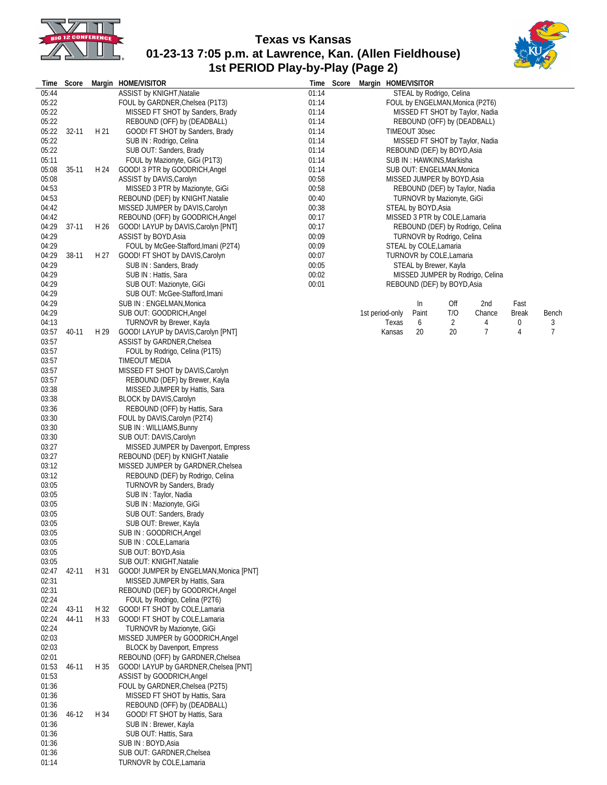

## **Texas vs Kansas 01-23-13 7:05 p.m. at Lawrence, Kan. (Allen Fieldhouse) 1st PERIOD Play-by-Play (Page 2)**



| lime           | Score   |              | Margin HOME/VISITOR                                               |                | Time Score Margin HOME/VISITOR |        |                        |                                 |                                  |              |                     |
|----------------|---------|--------------|-------------------------------------------------------------------|----------------|--------------------------------|--------|------------------------|---------------------------------|----------------------------------|--------------|---------------------|
| 05:44          |         |              | ASSIST by KNIGHT, Natalie                                         | 01:14          |                                |        |                        | STEAL by Rodrigo, Celina        |                                  |              |                     |
| 05:22          |         |              | FOUL by GARDNER, Chelsea (P1T3)                                   | 01:14          |                                |        |                        | FOUL by ENGELMAN, Monica (P2T6) |                                  |              |                     |
| 05:22<br>05:22 |         |              | MISSED FT SHOT by Sanders, Brady                                  | 01:14<br>01:14 |                                |        |                        | REBOUND (OFF) by (DEADBALL)     | MISSED FT SHOT by Taylor, Nadia  |              |                     |
| 05:22          | 32-11   | H 21         | REBOUND (OFF) by (DEADBALL)<br>GOOD! FT SHOT by Sanders, Brady    | 01:14          |                                |        | TIMEOUT 30sec          |                                 |                                  |              |                     |
| 05:22          |         |              | SUB IN: Rodrigo, Celina                                           | 01:14          |                                |        |                        |                                 | MISSED FT SHOT by Taylor, Nadia  |              |                     |
| 05:22          |         |              | SUB OUT: Sanders, Brady                                           | 01:14          |                                |        |                        | REBOUND (DEF) by BOYD, Asia     |                                  |              |                     |
| 05:11          |         |              | FOUL by Mazionyte, GiGi (P1T3)                                    | 01:14          |                                |        |                        | SUB IN: HAWKINS, Markisha       |                                  |              |                     |
| 05:08          | $35-11$ | H 24         | GOOD! 3 PTR by GOODRICH, Angel                                    | 01:14          |                                |        |                        | SUB OUT: ENGELMAN, Monica       |                                  |              |                     |
| 05:08          |         |              | ASSIST by DAVIS, Carolyn                                          | 00:58          |                                |        |                        | MISSED JUMPER by BOYD, Asia     |                                  |              |                     |
| 04:53          |         |              | MISSED 3 PTR by Mazionyte, GiGi                                   | 00:58          |                                |        |                        | REBOUND (DEF) by Taylor, Nadia  |                                  |              |                     |
| 04:53          |         |              | REBOUND (DEF) by KNIGHT, Natalie                                  | 00:40          |                                |        |                        | TURNOVR by Mazionyte, GiGi      |                                  |              |                     |
| 04:42          |         |              | MISSED JUMPER by DAVIS, Carolyn                                   | 00:38          |                                |        | STEAL by BOYD, Asia    |                                 |                                  |              |                     |
| 04:42          |         |              | REBOUND (OFF) by GOODRICH, Angel                                  | 00:17          |                                |        |                        | MISSED 3 PTR by COLE, Lamaria   |                                  |              |                     |
| 04:29<br>04:29 | $37-11$ | H 26         | GOOD! LAYUP by DAVIS, Carolyn [PNT]<br>ASSIST by BOYD, Asia       | 00:17<br>00:09 |                                |        |                        | TURNOVR by Rodrigo, Celina      | REBOUND (DEF) by Rodrigo, Celina |              |                     |
| 04:29          |         |              | FOUL by McGee-Stafford, Imani (P2T4)                              | 00:09          |                                |        | STEAL by COLE, Lamaria |                                 |                                  |              |                     |
| 04:29          | 38-11   | H 27         | GOOD! FT SHOT by DAVIS, Carolyn                                   | 00:07          |                                |        |                        | TURNOVR by COLE, Lamaria        |                                  |              |                     |
| 04:29          |         |              | SUB IN: Sanders, Brady                                            | 00:05          |                                |        |                        | STEAL by Brewer, Kayla          |                                  |              |                     |
| 04:29          |         |              | SUB IN: Hattis, Sara                                              | 00:02          |                                |        |                        |                                 | MISSED JUMPER by Rodrigo, Celina |              |                     |
| 04:29          |         |              | SUB OUT: Mazionyte, GiGi                                          | 00:01          |                                |        |                        | REBOUND (DEF) by BOYD, Asia     |                                  |              |                     |
| 04:29          |         |              | SUB OUT: McGee-Stafford, Imani                                    |                |                                |        |                        |                                 |                                  |              |                     |
| 04:29          |         |              | SUB IN: ENGELMAN, Monica                                          |                |                                |        | ln                     | Off                             | 2nd                              | Fast         |                     |
| 04:29          |         |              | SUB OUT: GOODRICH, Angel                                          |                | 1st period-only                |        | Paint                  | T/O                             | Chance                           | <b>Break</b> | Bench               |
| 04:13          |         |              | <b>TURNOVR by Brewer, Kayla</b>                                   |                |                                | Texas  | 6                      | 2                               | 4<br>7                           | 0<br>4       | 3<br>$\overline{7}$ |
| 03:57<br>03:57 | 40-11   | H 29         | GOOD! LAYUP by DAVIS, Carolyn [PNT]<br>ASSIST by GARDNER, Chelsea |                |                                | Kansas | 20                     | 20                              |                                  |              |                     |
| 03:57          |         |              | FOUL by Rodrigo, Celina (P1T5)                                    |                |                                |        |                        |                                 |                                  |              |                     |
| 03:57          |         |              | TIMEOUT MEDIA                                                     |                |                                |        |                        |                                 |                                  |              |                     |
| 03:57          |         |              | MISSED FT SHOT by DAVIS, Carolyn                                  |                |                                |        |                        |                                 |                                  |              |                     |
| 03:57          |         |              | REBOUND (DEF) by Brewer, Kayla                                    |                |                                |        |                        |                                 |                                  |              |                     |
| 03:38          |         |              | MISSED JUMPER by Hattis, Sara                                     |                |                                |        |                        |                                 |                                  |              |                     |
| 03:38          |         |              | BLOCK by DAVIS, Carolyn                                           |                |                                |        |                        |                                 |                                  |              |                     |
| 03:36          |         |              | REBOUND (OFF) by Hattis, Sara                                     |                |                                |        |                        |                                 |                                  |              |                     |
| 03:30          |         |              | FOUL by DAVIS, Carolyn (P2T4)                                     |                |                                |        |                        |                                 |                                  |              |                     |
| 03:30          |         |              | SUB IN: WILLIAMS, Bunny                                           |                |                                |        |                        |                                 |                                  |              |                     |
| 03:30<br>03:27 |         |              | SUB OUT: DAVIS, Carolyn<br>MISSED JUMPER by Davenport, Empress    |                |                                |        |                        |                                 |                                  |              |                     |
| 03:27          |         |              | REBOUND (DEF) by KNIGHT, Natalie                                  |                |                                |        |                        |                                 |                                  |              |                     |
| 03:12          |         |              | MISSED JUMPER by GARDNER, Chelsea                                 |                |                                |        |                        |                                 |                                  |              |                     |
| 03:12          |         |              | REBOUND (DEF) by Rodrigo, Celina                                  |                |                                |        |                        |                                 |                                  |              |                     |
| 03:05          |         |              | <b>TURNOVR by Sanders, Brady</b>                                  |                |                                |        |                        |                                 |                                  |              |                     |
| 03:05          |         |              | SUB IN: Taylor, Nadia                                             |                |                                |        |                        |                                 |                                  |              |                     |
| 03:05          |         |              | SUB IN : Mazionyte, GiGi                                          |                |                                |        |                        |                                 |                                  |              |                     |
| 03:05          |         |              | SUB OUT: Sanders, Brady<br>SUB OUT: Brewer, Kayla                 |                |                                |        |                        |                                 |                                  |              |                     |
| 03:05<br>03:05 |         |              | SUB IN: GOODRICH, Angel                                           |                |                                |        |                        |                                 |                                  |              |                     |
| 03:05          |         |              | SUB IN: COLE, Lamaria                                             |                |                                |        |                        |                                 |                                  |              |                     |
| 03:05          |         |              | SUB OUT: BOYD, Asia                                               |                |                                |        |                        |                                 |                                  |              |                     |
| 03:05          |         |              | SUB OUT: KNIGHT, Natalie                                          |                |                                |        |                        |                                 |                                  |              |                     |
| 02:47          | 42-11   | H 31         | GOOD! JUMPER by ENGELMAN, Monica [PNT]                            |                |                                |        |                        |                                 |                                  |              |                     |
| 02:31          |         |              | MISSED JUMPER by Hattis, Sara                                     |                |                                |        |                        |                                 |                                  |              |                     |
| 02:31          |         |              | REBOUND (DEF) by GOODRICH, Angel                                  |                |                                |        |                        |                                 |                                  |              |                     |
| 02:24          |         |              | FOUL by Rodrigo, Celina (P2T6)                                    |                |                                |        |                        |                                 |                                  |              |                     |
| 02:24          | 43-11   | H 32<br>H 33 | GOOD! FT SHOT by COLE, Lamaria                                    |                |                                |        |                        |                                 |                                  |              |                     |
| 02:24<br>02:24 | 44-11   |              | GOOD! FT SHOT by COLE, Lamaria<br>TURNOVR by Mazionyte, GiGi      |                |                                |        |                        |                                 |                                  |              |                     |
| 02:03          |         |              | MISSED JUMPER by GOODRICH, Angel                                  |                |                                |        |                        |                                 |                                  |              |                     |
| 02:03          |         |              | <b>BLOCK by Davenport, Empress</b>                                |                |                                |        |                        |                                 |                                  |              |                     |
| 02:01          |         |              | REBOUND (OFF) by GARDNER, Chelsea                                 |                |                                |        |                        |                                 |                                  |              |                     |
| 01:53          | 46-11   | H 35         | GOOD! LAYUP by GARDNER, Chelsea [PNT]                             |                |                                |        |                        |                                 |                                  |              |                     |
| 01:53          |         |              | ASSIST by GOODRICH, Angel                                         |                |                                |        |                        |                                 |                                  |              |                     |
| 01:36          |         |              | FOUL by GARDNER, Chelsea (P2T5)                                   |                |                                |        |                        |                                 |                                  |              |                     |
| 01:36          |         |              | MISSED FT SHOT by Hattis, Sara                                    |                |                                |        |                        |                                 |                                  |              |                     |
| 01:36          |         |              | REBOUND (OFF) by (DEADBALL)                                       |                |                                |        |                        |                                 |                                  |              |                     |
| 01:36          | 46-12   | H 34         | GOOD! FT SHOT by Hattis, Sara                                     |                |                                |        |                        |                                 |                                  |              |                     |
| 01:36<br>01:36 |         |              | SUB IN: Brewer, Kayla<br>SUB OUT: Hattis, Sara                    |                |                                |        |                        |                                 |                                  |              |                     |
| 01:36          |         |              | SUB IN : BOYD, Asia                                               |                |                                |        |                        |                                 |                                  |              |                     |
| 01:36          |         |              | SUB OUT: GARDNER, Chelsea                                         |                |                                |        |                        |                                 |                                  |              |                     |
| 01:14          |         |              | TURNOVR by COLE, Lamaria                                          |                |                                |        |                        |                                 |                                  |              |                     |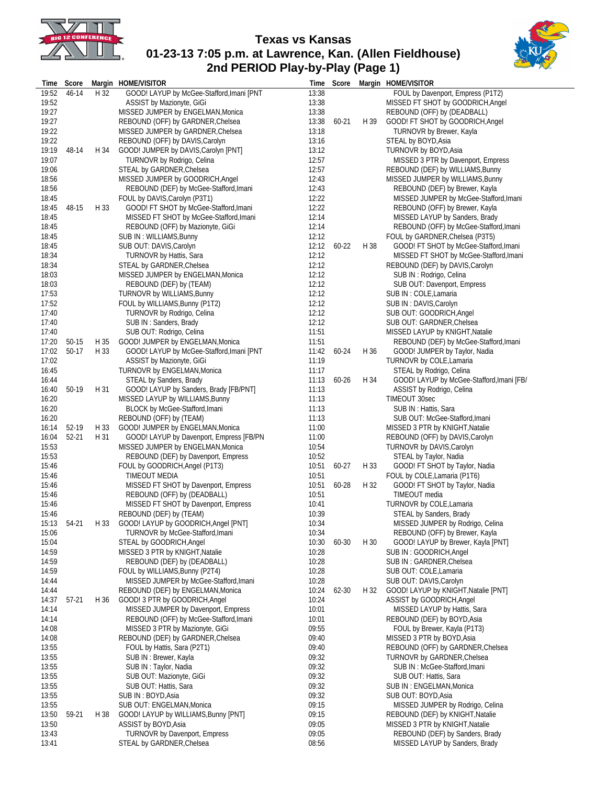

## **Texas vs Kansas 01-23-13 7:05 p.m. at Lawrence, Kan. (Allen Fieldhouse) 2nd PERIOD Play-by-Play (Page 1)**



| Time           | Score   |      | Margin HOME/VISITOR                                                   |                | Time Score |      | Margin HOME/VISITOR                                               |
|----------------|---------|------|-----------------------------------------------------------------------|----------------|------------|------|-------------------------------------------------------------------|
| 19:52          | 46-14   | H 32 | GOOD! LAYUP by McGee-Stafford, Imani [PNT                             | 13:38          |            |      | FOUL by Davenport, Empress (P1T2)                                 |
| 19:52          |         |      | ASSIST by Mazionyte, GiGi                                             | 13:38          |            |      | MISSED FT SHOT by GOODRICH, Angel                                 |
| 19:27          |         |      | MISSED JUMPER by ENGELMAN, Monica                                     | 13:38          |            |      | REBOUND (OFF) by (DEADBALL)                                       |
| 19:27          |         |      | REBOUND (OFF) by GARDNER, Chelsea                                     | 13:38          | $60 - 21$  | H 39 | GOOD! FT SHOT by GOODRICH, Angel                                  |
| 19:22          |         |      | MISSED JUMPER by GARDNER, Chelsea                                     | 13:18          |            |      | <b>TURNOVR by Brewer, Kayla</b>                                   |
| 19:22          |         |      | REBOUND (OFF) by DAVIS, Carolyn                                       | 13:16          |            |      | STEAL by BOYD, Asia                                               |
| 19:19          | 48-14   | H 34 | GOOD! JUMPER by DAVIS, Carolyn [PNT]                                  | 13:12          |            |      | TURNOVR by BOYD, Asia                                             |
| 19:07          |         |      | TURNOVR by Rodrigo, Celina                                            | 12:57          |            |      | MISSED 3 PTR by Davenport, Empress                                |
| 19:06          |         |      | STEAL by GARDNER, Chelsea                                             | 12:57          |            |      | REBOUND (DEF) by WILLIAMS, Bunny                                  |
| 18:56          |         |      | MISSED JUMPER by GOODRICH, Angel                                      | 12:43          |            |      | MISSED JUMPER by WILLIAMS, Bunny                                  |
| 18:56          |         |      | REBOUND (DEF) by McGee-Stafford, Imani                                | 12:43          |            |      | REBOUND (DEF) by Brewer, Kayla                                    |
| 18:45          |         |      | FOUL by DAVIS, Carolyn (P3T1)                                         | 12:22          |            |      | MISSED JUMPER by McGee-Stafford, Imani                            |
| 18:45          | 48-15   | H 33 | GOOD! FT SHOT by McGee-Stafford, Imani                                | 12:22          |            |      | REBOUND (OFF) by Brewer, Kayla                                    |
| 18:45          |         |      | MISSED FT SHOT by McGee-Stafford, Imani                               | 12:14          |            |      | MISSED LAYUP by Sanders, Brady                                    |
| 18:45          |         |      | REBOUND (OFF) by Mazionyte, GiGi                                      | 12:14          |            |      | REBOUND (OFF) by McGee-Stafford, Imani                            |
| 18:45          |         |      | SUB IN: WILLIAMS, Bunny                                               | 12:12          |            |      | FOUL by GARDNER, Chelsea (P3T5)                                   |
| 18:45          |         |      | SUB OUT: DAVIS, Carolyn                                               | 12:12          | 60-22      | H 38 | GOOD! FT SHOT by McGee-Stafford, Imani                            |
| 18:34          |         |      | TURNOVR by Hattis, Sara                                               | 12:12          |            |      | MISSED FT SHOT by McGee-Stafford, Imani                           |
| 18:34          |         |      | STEAL by GARDNER, Chelsea                                             | 12:12          |            |      | REBOUND (DEF) by DAVIS, Carolyn                                   |
| 18:03          |         |      | MISSED JUMPER by ENGELMAN, Monica                                     | 12:12          |            |      | SUB IN : Rodrigo, Celina                                          |
| 18:03          |         |      | REBOUND (DEF) by (TEAM)                                               | 12:12          |            |      | SUB OUT: Davenport, Empress                                       |
| 17:53          |         |      | TURNOVR by WILLIAMS, Bunny                                            | 12:12          |            |      | SUB IN: COLE, Lamaria                                             |
| 17:52          |         |      | FOUL by WILLIAMS, Bunny (P1T2)                                        | 12:12          |            |      | SUB IN: DAVIS, Carolyn                                            |
| 17:40          |         |      | <b>TURNOVR by Rodrigo, Celina</b>                                     | 12:12          |            |      | SUB OUT: GOODRICH, Angel                                          |
| 17:40          |         |      | SUB IN: Sanders, Brady                                                | 12:12          |            |      | SUB OUT: GARDNER, Chelsea                                         |
| 17:40          |         |      | SUB OUT: Rodrigo, Celina                                              | 11:51          |            |      | MISSED LAYUP by KNIGHT, Natalie                                   |
| 17:20          | 50-15   | H 35 | GOOD! JUMPER by ENGELMAN, Monica                                      | 11:51          |            |      | REBOUND (DEF) by McGee-Stafford, Imani                            |
| 17:02          | 50-17   | H 33 | GOOD! LAYUP by McGee-Stafford, Imani [PNT                             | 11:42          | 60-24      | H 36 | GOOD! JUMPER by Taylor, Nadia                                     |
| 17:02          |         |      | ASSIST by Mazionyte, GiGi                                             | 11:19          |            |      | TURNOVR by COLE, Lamaria                                          |
| 16:45          |         |      | TURNOVR by ENGELMAN, Monica                                           | 11:17          |            |      | STEAL by Rodrigo, Celina                                          |
| 16:44          |         |      | STEAL by Sanders, Brady                                               | 11:13          | 60-26      | H 34 | GOOD! LAYUP by McGee-Stafford, Imani [FB/                         |
| 16:40          | 50-19   | H 31 | GOOD! LAYUP by Sanders, Brady [FB/PNT]                                | 11:13          |            |      | ASSIST by Rodrigo, Celina                                         |
| 16:20          |         |      | MISSED LAYUP by WILLIAMS, Bunny                                       | 11:13          |            |      | TIMEOUT 30sec                                                     |
| 16:20          |         |      | <b>BLOCK by McGee-Stafford, Imani</b>                                 | 11:13          |            |      | SUB IN : Hattis, Sara                                             |
| 16:20          |         |      | REBOUND (OFF) by (TEAM)                                               | 11:13          |            |      | SUB OUT: McGee-Stafford, Imani                                    |
| 16:14          | 52-19   | H 33 | GOOD! JUMPER by ENGELMAN, Monica                                      | 11:00          |            |      | MISSED 3 PTR by KNIGHT, Natalie                                   |
| 16:04          | 52-21   | H 31 | GOOD! LAYUP by Davenport, Empress [FB/PN                              | 11:00          |            |      | REBOUND (OFF) by DAVIS, Carolyn                                   |
| 15:53          |         |      | MISSED JUMPER by ENGELMAN, Monica                                     | 10:54          |            |      | TURNOVR by DAVIS, Carolyn                                         |
| 15:53          |         |      | REBOUND (DEF) by Davenport, Empress                                   | 10:52          |            |      | STEAL by Taylor, Nadia                                            |
| 15:46          |         |      | FOUL by GOODRICH, Angel (P1T3)                                        | 10:51          | 60-27      | H 33 | GOOD! FT SHOT by Taylor, Nadia                                    |
| 15:46          |         |      | TIMEOUT MEDIA                                                         | 10:51          |            |      | FOUL by COLE, Lamaria (P1T6)                                      |
| 15:46          |         |      | MISSED FT SHOT by Davenport, Empress                                  | 10:51          | 60-28      | H 32 | GOOD! FT SHOT by Taylor, Nadia                                    |
| 15:46          |         |      | REBOUND (OFF) by (DEADBALL)                                           | 10:51          |            |      | TIMEOUT media                                                     |
| 15:46          |         |      | MISSED FT SHOT by Davenport, Empress                                  | 10:41          |            |      | TURNOVR by COLE, Lamaria                                          |
| 15:46          |         |      | REBOUND (DEF) by (TEAM)                                               | 10:39          |            |      | STEAL by Sanders, Brady                                           |
| 15:13          | 54-21   |      | H 33 GOOD! LAYUP by GOODRICH, Angel [PNT]                             | 10:34          |            |      | MISSED JUMPER by Rodrigo, Celina                                  |
| 15:06          |         |      | TURNOVR by McGee-Stafford, Imani                                      | 10:34          |            |      | REBOUND (OFF) by Brewer, Kayla                                    |
| 15:04          |         |      | STEAL by GOODRICH, Angel                                              | 10:30          | 60-30      | H 30 | GOOD! LAYUP by Brewer, Kayla [PNT]                                |
| 14:59          |         |      | MISSED 3 PTR by KNIGHT, Natalie                                       | 10:28          |            |      | SUB IN: GOODRICH, Angel                                           |
| 14:59          |         |      | REBOUND (DEF) by (DEADBALL)                                           | 10:28          |            |      | SUB IN: GARDNER, Chelsea                                          |
| 14:59          |         |      | FOUL by WILLIAMS, Bunny (P2T4)                                        | 10:28          |            |      | SUB OUT: COLE, Lamaria                                            |
| 14:44          |         |      | MISSED JUMPER by McGee-Stafford, Imani                                | 10:28          |            |      | SUB OUT: DAVIS, Carolyn                                           |
| 14:44<br>14:37 |         | H 36 | REBOUND (DEF) by ENGELMAN, Monica                                     | 10:24<br>10:24 | 62-30      | H 32 | GOOD! LAYUP by KNIGHT, Natalie [PNT]<br>ASSIST by GOODRICH, Angel |
|                | $57-21$ |      | GOOD! 3 PTR by GOODRICH, Angel<br>MISSED JUMPER by Davenport, Empress |                |            |      | MISSED LAYUP by Hattis, Sara                                      |
| 14:14          |         |      | REBOUND (OFF) by McGee-Stafford, Imani                                | 10:01<br>10:01 |            |      |                                                                   |
| 14:14          |         |      | MISSED 3 PTR by Mazionyte, GiGi                                       | 09:55          |            |      | REBOUND (DEF) by BOYD, Asia                                       |
| 14:08<br>14:08 |         |      | REBOUND (DEF) by GARDNER, Chelsea                                     | 09:40          |            |      | FOUL by Brewer, Kayla (P1T3)<br>MISSED 3 PTR by BOYD, Asia        |
| 13:55          |         |      | FOUL by Hattis, Sara (P2T1)                                           | 09:40          |            |      | REBOUND (OFF) by GARDNER, Chelsea                                 |
| 13:55          |         |      | SUB IN: Brewer, Kayla                                                 | 09:32          |            |      | TURNOVR by GARDNER, Chelsea                                       |
| 13:55          |         |      | SUB IN: Taylor, Nadia                                                 | 09:32          |            |      | SUB IN: McGee-Stafford, Imani                                     |
| 13:55          |         |      | SUB OUT: Mazionyte, GiGi                                              | 09:32          |            |      | SUB OUT: Hattis, Sara                                             |
| 13:55          |         |      | SUB OUT: Hattis, Sara                                                 | 09:32          |            |      | SUB IN: ENGELMAN, Monica                                          |
| 13:55          |         |      | SUB IN : BOYD, Asia                                                   | 09:32          |            |      | SUB OUT: BOYD, Asia                                               |
| 13:55          |         |      | SUB OUT: ENGELMAN, Monica                                             | 09:15          |            |      | MISSED JUMPER by Rodrigo, Celina                                  |
| 13:50          | 59-21   | H 38 | GOOD! LAYUP by WILLIAMS, Bunny [PNT]                                  | 09:15          |            |      | REBOUND (DEF) by KNIGHT, Natalie                                  |
| 13:50          |         |      | ASSIST by BOYD, Asia                                                  | 09:05          |            |      | MISSED 3 PTR by KNIGHT, Natalie                                   |
| 13:43          |         |      | TURNOVR by Davenport, Empress                                         | 09:05          |            |      | REBOUND (DEF) by Sanders, Brady                                   |
| 13:41          |         |      | STEAL by GARDNER, Chelsea                                             | 08:56          |            |      | MISSED LAYUP by Sanders, Brady                                    |
|                |         |      |                                                                       |                |            |      |                                                                   |